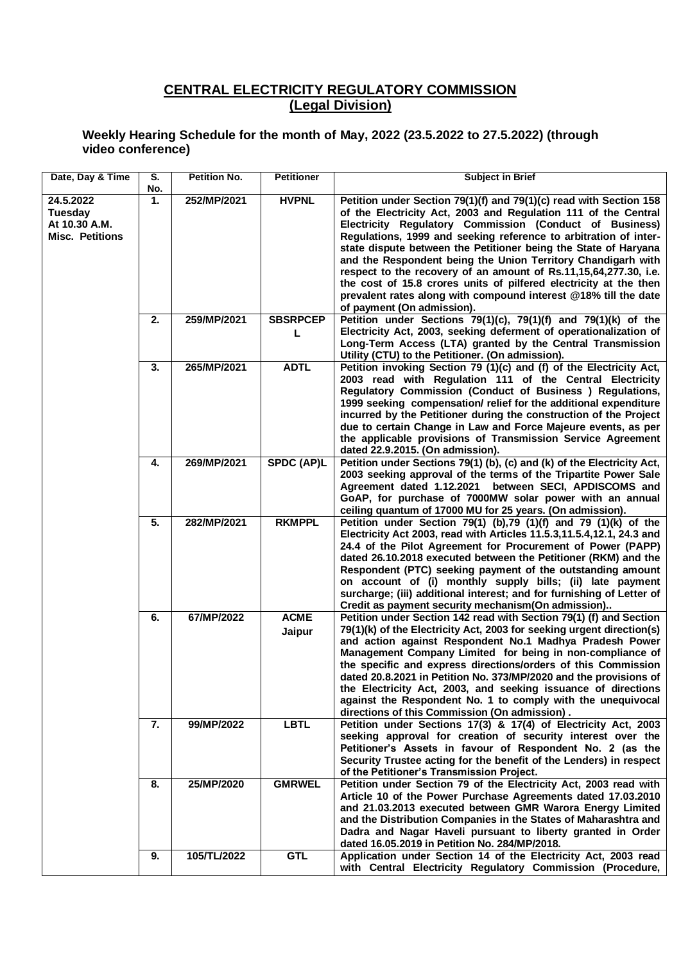## **CENTRAL ELECTRICITY REGULATORY COMMISSION (Legal Division)**

## **Weekly Hearing Schedule for the month of May, 2022 (23.5.2022 to 27.5.2022) (through video conference)**

| Date, Day & Time                                                | S.<br>No.        | <b>Petition No.</b> | <b>Petitioner</b>     | <b>Subject in Brief</b>                                                                                                                                                                                                                                                                                                                                                                                                                                                                                                                                                                                                                          |
|-----------------------------------------------------------------|------------------|---------------------|-----------------------|--------------------------------------------------------------------------------------------------------------------------------------------------------------------------------------------------------------------------------------------------------------------------------------------------------------------------------------------------------------------------------------------------------------------------------------------------------------------------------------------------------------------------------------------------------------------------------------------------------------------------------------------------|
| 24.5.2022<br>Tuesday<br>At 10.30 A.M.<br><b>Misc. Petitions</b> | 1.               | 252/MP/2021         | <b>HVPNL</b>          | Petition under Section 79(1)(f) and 79(1)(c) read with Section 158<br>of the Electricity Act, 2003 and Regulation 111 of the Central<br>Electricity Regulatory Commission (Conduct of Business)<br>Regulations, 1999 and seeking reference to arbitration of inter-<br>state dispute between the Petitioner being the State of Haryana<br>and the Respondent being the Union Territory Chandigarh with<br>respect to the recovery of an amount of Rs.11,15,64,277.30, i.e.<br>the cost of 15.8 crores units of pilfered electricity at the then<br>prevalent rates along with compound interest @18% till the date<br>of payment (On admission). |
|                                                                 | 2.               | 259/MP/2021         | <b>SBSRPCEP</b><br>L  | Petition under Sections 79(1)(c), 79(1)(f) and 79(1)(k) of the<br>Electricity Act, 2003, seeking deferment of operationalization of<br>Long-Term Access (LTA) granted by the Central Transmission<br>Utility (CTU) to the Petitioner. (On admission).                                                                                                                                                                                                                                                                                                                                                                                            |
|                                                                 | $\overline{3}$ . | 265/MP/2021         | <b>ADTL</b>           | Petition invoking Section 79 (1)(c) and (f) of the Electricity Act,<br>2003 read with Regulation 111 of the Central Electricity<br>Regulatory Commission (Conduct of Business ) Regulations,<br>1999 seeking compensation/ relief for the additional expenditure<br>incurred by the Petitioner during the construction of the Project<br>due to certain Change in Law and Force Majeure events, as per<br>the applicable provisions of Transmission Service Agreement<br>dated 22.9.2015. (On admission).                                                                                                                                        |
|                                                                 | 4.               | 269/MP/2021         | <b>SPDC (AP)L</b>     | Petition under Sections 79(1) (b), (c) and (k) of the Electricity Act,<br>2003 seeking approval of the terms of the Tripartite Power Sale<br>Agreement dated 1.12.2021 between SECI, APDISCOMS and<br>GoAP, for purchase of 7000MW solar power with an annual<br>ceiling quantum of 17000 MU for 25 years. (On admission).                                                                                                                                                                                                                                                                                                                       |
|                                                                 | 5.               | 282/MP/2021         | <b>RKMPPL</b>         | Petition under Section 79(1) (b), 79 (1)(f) and 79 (1)(k) of the<br>Electricity Act 2003, read with Articles 11.5.3,11.5.4,12.1, 24.3 and<br>24.4 of the Pilot Agreement for Procurement of Power (PAPP)<br>dated 26.10.2018 executed between the Petitioner (RKM) and the<br>Respondent (PTC) seeking payment of the outstanding amount<br>on account of (i) monthly supply bills; (ii) late payment<br>surcharge; (iii) additional interest; and for furnishing of Letter of<br>Credit as payment security mechanism(On admission)                                                                                                             |
|                                                                 | 6.               | 67/MP/2022          | <b>ACME</b><br>Jaipur | Petition under Section 142 read with Section 79(1) (f) and Section<br>79(1)(k) of the Electricity Act, 2003 for seeking urgent direction(s)<br>and action against Respondent No.1 Madhya Pradesh Power<br>Management Company Limited for being in non-compliance of<br>the specific and express directions/orders of this Commission<br>dated 20.8.2021 in Petition No. 373/MP/2020 and the provisions of<br>the Electricity Act, 2003, and seeking issuance of directions<br>against the Respondent No. 1 to comply with the unequivocal<br>directions of this Commission (On admission).                                                       |
|                                                                 | 7.               | 99/MP/2022          | <b>LBTL</b>           | Petition under Sections 17(3) & 17(4) of Electricity Act, 2003<br>seeking approval for creation of security interest over the<br>Petitioner's Assets in favour of Respondent No. 2 (as the<br>Security Trustee acting for the benefit of the Lenders) in respect<br>of the Petitioner's Transmission Project.                                                                                                                                                                                                                                                                                                                                    |
|                                                                 | 8.               | 25/MP/2020          | <b>GMRWEL</b>         | Petition under Section 79 of the Electricity Act, 2003 read with<br>Article 10 of the Power Purchase Agreements dated 17.03.2010<br>and 21.03.2013 executed between GMR Warora Energy Limited<br>and the Distribution Companies in the States of Maharashtra and<br>Dadra and Nagar Haveli pursuant to liberty granted in Order<br>dated 16.05.2019 in Petition No. 284/MP/2018.                                                                                                                                                                                                                                                                 |
|                                                                 | 9.               | 105/TL/2022         | <b>GTL</b>            | Application under Section 14 of the Electricity Act, 2003 read<br>with Central Electricity Regulatory Commission (Procedure,                                                                                                                                                                                                                                                                                                                                                                                                                                                                                                                     |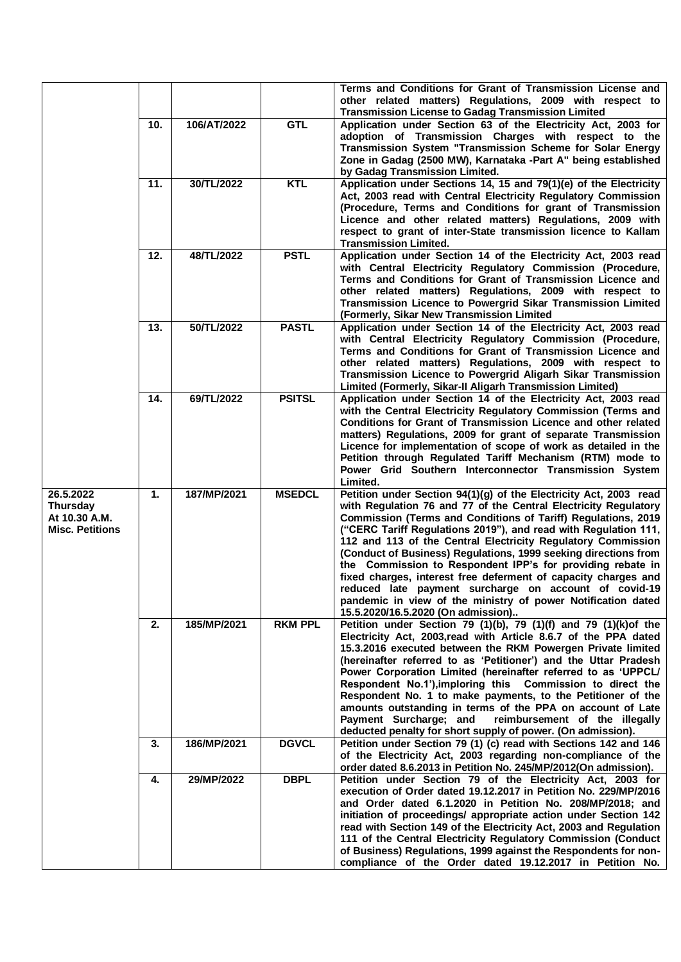|                                                                  |     |             |                | Terms and Conditions for Grant of Transmission License and<br>other related matters) Regulations, 2009 with respect to                                                                                                                                                                                                                                                                                                                                                                                                                                                                                                                                                                                     |
|------------------------------------------------------------------|-----|-------------|----------------|------------------------------------------------------------------------------------------------------------------------------------------------------------------------------------------------------------------------------------------------------------------------------------------------------------------------------------------------------------------------------------------------------------------------------------------------------------------------------------------------------------------------------------------------------------------------------------------------------------------------------------------------------------------------------------------------------------|
|                                                                  | 10. | 106/AT/2022 | <b>GTL</b>     | <b>Transmission License to Gadag Transmission Limited</b><br>Application under Section 63 of the Electricity Act, 2003 for                                                                                                                                                                                                                                                                                                                                                                                                                                                                                                                                                                                 |
|                                                                  |     |             |                | adoption of Transmission Charges with respect to the<br>Transmission System "Transmission Scheme for Solar Energy<br>Zone in Gadag (2500 MW), Karnataka -Part A" being established<br>by Gadag Transmission Limited.                                                                                                                                                                                                                                                                                                                                                                                                                                                                                       |
|                                                                  | 11. | 30/TL/2022  | <b>KTL</b>     | Application under Sections 14, 15 and 79(1)(e) of the Electricity<br>Act, 2003 read with Central Electricity Regulatory Commission<br>(Procedure, Terms and Conditions for grant of Transmission                                                                                                                                                                                                                                                                                                                                                                                                                                                                                                           |
|                                                                  |     |             |                | Licence and other related matters) Regulations, 2009 with<br>respect to grant of inter-State transmission licence to Kallam<br><b>Transmission Limited.</b>                                                                                                                                                                                                                                                                                                                                                                                                                                                                                                                                                |
|                                                                  | 12. | 48/TL/2022  | <b>PSTL</b>    | Application under Section 14 of the Electricity Act, 2003 read<br>with Central Electricity Regulatory Commission (Procedure,<br>Terms and Conditions for Grant of Transmission Licence and<br>other related matters) Regulations, 2009 with respect to<br>Transmission Licence to Powergrid Sikar Transmission Limited<br>(Formerly, Sikar New Transmission Limited                                                                                                                                                                                                                                                                                                                                        |
|                                                                  | 13. | 50/TL/2022  | <b>PASTL</b>   | Application under Section 14 of the Electricity Act, 2003 read<br>with Central Electricity Regulatory Commission (Procedure,<br>Terms and Conditions for Grant of Transmission Licence and<br>other related matters) Regulations, 2009 with respect to<br>Transmission Licence to Powergrid Aligarh Sikar Transmission<br>Limited (Formerly, Sikar-II Aligarh Transmission Limited)                                                                                                                                                                                                                                                                                                                        |
|                                                                  | 14. | 69/TL/2022  | <b>PSITSL</b>  | Application under Section 14 of the Electricity Act, 2003 read<br>with the Central Electricity Regulatory Commission (Terms and<br>Conditions for Grant of Transmission Licence and other related<br>matters) Regulations, 2009 for grant of separate Transmission<br>Licence for implementation of scope of work as detailed in the<br>Petition through Regulated Tariff Mechanism (RTM) mode to<br>Power Grid Southern Interconnector Transmission System<br>Limited.                                                                                                                                                                                                                                    |
| 26.5.2022<br>Thursday<br>At 10.30 A.M.<br><b>Misc. Petitions</b> | 1.  | 187/MP/2021 | <b>MSEDCL</b>  | Petition under Section 94(1)(g) of the Electricity Act, 2003 read<br>with Regulation 76 and 77 of the Central Electricity Regulatory<br>Commission (Terms and Conditions of Tariff) Regulations, 2019<br>("CERC Tariff Regulations 2019"), and read with Regulation 111,<br>112 and 113 of the Central Electricity Regulatory Commission<br>(Conduct of Business) Regulations, 1999 seeking directions from<br>the Commission to Respondent IPP's for providing rebate in<br>fixed charges, interest free deferment of capacity charges and<br>reduced late payment surcharge on account of covid-19<br>pandemic in view of the ministry of power Notification dated<br>15.5.2020/16.5.2020 (On admission) |
|                                                                  | 2.  | 185/MP/2021 | <b>RKM PPL</b> | Petition under Section 79 (1)(b), 79 (1)(f) and 79 (1)(k)of the<br>Electricity Act, 2003, read with Article 8.6.7 of the PPA dated<br>15.3.2016 executed between the RKM Powergen Private limited<br>(hereinafter referred to as 'Petitioner') and the Uttar Pradesh<br>Power Corporation Limited (hereinafter referred to as 'UPPCL/<br>Respondent No.1'), imploring this Commission to direct the<br>Respondent No. 1 to make payments, to the Petitioner of the<br>amounts outstanding in terms of the PPA on account of Late<br>Payment Surcharge; and reimbursement of the illegally<br>deducted penalty for short supply of power. (On admission).                                                   |
|                                                                  | 3.  | 186/MP/2021 | <b>DGVCL</b>   | Petition under Section 79 (1) (c) read with Sections 142 and 146<br>of the Electricity Act, 2003 regarding non-compliance of the<br>order dated 8.6.2013 in Petition No. 245/MP/2012(On admission).                                                                                                                                                                                                                                                                                                                                                                                                                                                                                                        |
|                                                                  | 4.  | 29/MP/2022  | <b>DBPL</b>    | Petition under Section 79 of the Electricity Act, 2003 for<br>execution of Order dated 19.12.2017 in Petition No. 229/MP/2016<br>and Order dated 6.1.2020 in Petition No. 208/MP/2018; and<br>initiation of proceedings/ appropriate action under Section 142<br>read with Section 149 of the Electricity Act, 2003 and Regulation<br>111 of the Central Electricity Regulatory Commission (Conduct<br>of Business) Regulations, 1999 against the Respondents for non-<br>compliance of the Order dated 19.12.2017 in Petition No.                                                                                                                                                                         |